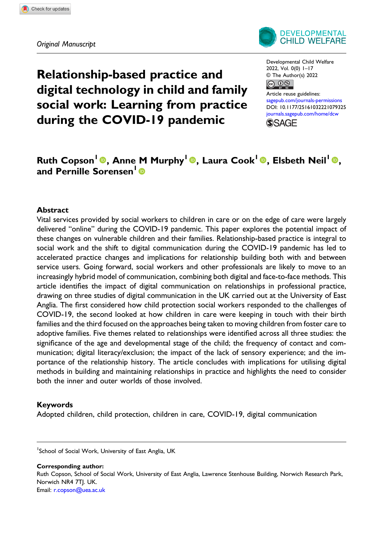

Relationship-based practice and digital technology in child and family social work: Learning from practice during the COVID-19 pandemic

Developmental Child Welfare 2022, Vol. 0(0) 1–17 © The Author(s) 2022  $\circledcirc$ 

Article reuse guidelines: [sagepub.com/journals-permissions](https://uk.sagepub.com/en-gb/journals-permissions) DOI: [10.1177/25161032221079325](https://doi.org/10.1177/25161032221079325) [journals.sagepub.com/home/dcw](https://journals.sagepub.com/home/dcw) **SSAGF** 

# Ruth Copson<sup>1</sup>®, Anne M Murphy<sup>1</sup>®, Laura Cook<sup>1</sup>®, Elsbeth Neil<sup>1</sup>®, and Pernille Sorensen<sup>1</sup><sup>®</sup>

#### Abstract

Vital services provided by social workers to children in care or on the edge of care were largely delivered "online" during the COVID-19 pandemic. This paper explores the potential impact of these changes on vulnerable children and their families. Relationship-based practice is integral to social work and the shift to digital communication during the COVID-19 pandemic has led to accelerated practice changes and implications for relationship building both with and between service users. Going forward, social workers and other professionals are likely to move to an increasingly hybrid model of communication, combining both digital and face-to-face methods. This article identifies the impact of digital communication on relationships in professional practice, drawing on three studies of digital communication in the UK carried out at the University of East Anglia. The first considered how child protection social workers responded to the challenges of COVID-19, the second looked at how children in care were keeping in touch with their birth families and the third focused on the approaches being taken to moving children from foster care to adoptive families. Five themes related to relationships were identified across all three studies: the significance of the age and developmental stage of the child; the frequency of contact and communication; digital literacy/exclusion; the impact of the lack of sensory experience; and the importance of the relationship history. The article concludes with implications for utilising digital methods in building and maintaining relationships in practice and highlights the need to consider both the inner and outer worlds of those involved.

#### Keywords

Adopted children, child protection, children in care, COVID-19, digital communication

Corresponding author: Ruth Copson, School of Social Work, University of East Anglia, Lawrence Stenhouse Building, Norwich Research Park, Norwich NR4 7TJ. UK. Email: [r.copson@uea.ac.uk](mailto:r.copson@uea.ac.uk)

<sup>&</sup>lt;sup>1</sup>School of Social Work, University of East Anglia, UK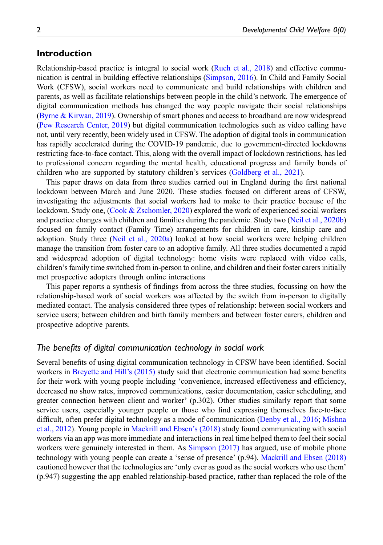# Introduction

Relationship-based practice is integral to social work [\(Ruch et al., 2018](#page-15-0)) and effective communication is central in building effective relationships [\(Simpson, 2016](#page-15-1)). In Child and Family Social Work (CFSW), social workers need to communicate and build relationships with children and parents, as well as facilitate relationships between people in the child's network. The emergence of digital communication methods has changed the way people navigate their social relationships [\(Byrne & Kirwan, 2019](#page-14-0)). Ownership of smart phones and access to broadband are now widespread [\(Pew Research Center, 2019\)](#page-15-2) but digital communication technologies such as video calling have not, until very recently, been widely used in CFSW. The adoption of digital tools in communication has rapidly accelerated during the COVID-19 pandemic, due to government-directed lockdowns restricting face-to-face contact. This, along with the overall impact of lockdown restrictions, has led to professional concern regarding the mental health, educational progress and family bonds of children who are supported by statutory children's services ([Goldberg et al., 2021\)](#page-14-1).

This paper draws on data from three studies carried out in England during the first national lockdown between March and June 2020. These studies focused on different areas of CFSW, investigating the adjustments that social workers had to make to their practice because of the lockdown. Study one, [\(Cook & Zschomler, 2020\)](#page-14-2) explored the work of experienced social workers and practice changes with children and families during the pandemic. Study two [\(Neil et al., 2020b\)](#page-15-3) focused on family contact (Family Time) arrangements for children in care, kinship care and adoption. Study three [\(Neil et al., 2020a\)](#page-15-4) looked at how social workers were helping children manage the transition from foster care to an adoptive family. All three studies documented a rapid and widespread adoption of digital technology: home visits were replaced with video calls, children's family time switched from in-person to online, and children and their foster carers initially met prospective adopters through online interactions

This paper reports a synthesis of findings from across the three studies, focussing on how the relationship-based work of social workers was affected by the switch from in-person to digitally mediated contact. The analysis considered three types of relationship: between social workers and service users; between children and birth family members and between foster carers, children and prospective adoptive parents.

## The benefits of digital communication technology in social work

Several benefits of using digital communication technology in CFSW have been identified. Social workers in [Breyette and Hill](#page-14-3)'s (2015) study said that electronic communication had some benefits for their work with young people including 'convenience, increased effectiveness and efficiency, decreased no show rates, improved communications, easier documentation, easier scheduling, and greater connection between client and worker' (p.302). Other studies similarly report that some service users, especially younger people or those who find expressing themselves face-to-face difficult, often prefer digital technology as a mode of communication ([Denby et al., 2016;](#page-14-4) [Mishna](#page-15-5) [et al., 2012\)](#page-15-5). Young people in [Mackrill and Ebsen](#page-14-5)'s (2018) study found communicating with social workers via an app was more immediate and interactions in real time helped them to feel their social workers were genuinely interested in them. As [Simpson \(2017\)](#page-15-6) has argued, use of mobile phone technology with young people can create a 'sense of presence' (p.94). [Mackrill and Ebsen \(2018\)](#page-14-5) cautioned however that the technologies are 'only ever as good as the social workers who use them' (p.947) suggesting the app enabled relationship-based practice, rather than replaced the role of the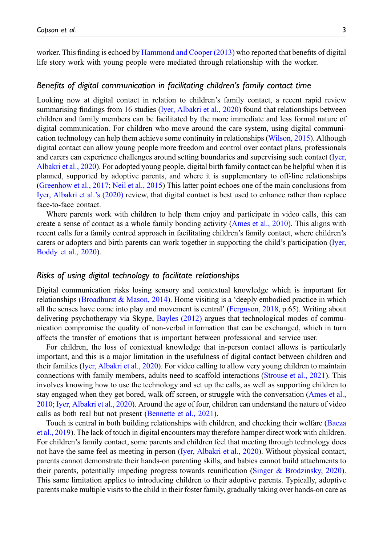worker. This finding is echoed by [Hammond and Cooper \(2013\)](#page-14-6) who reported that benefits of digital life story work with young people were mediated through relationship with the worker.

#### Benefits of digital communication in facilitating children's family contact time

Looking now at digital contact in relation to children's family contact, a recent rapid review summarising findings from 16 studies [\(Iyer, Albakri et al., 2020](#page-14-7)) found that relationships between children and family members can be facilitated by the more immediate and less formal nature of digital communication. For children who move around the care system, using digital communication technology can help them achieve some continuity in relationships ([Wilson, 2015](#page-16-0)). Although digital contact can allow young people more freedom and control over contact plans, professionals and carers can experience challenges around setting boundaries and supervising such contact ([Iyer,](#page-14-7) [Albakri et al., 2020](#page-14-7)). For adopted young people, digital birth family contact can be helpful when it is planned, supported by adoptive parents, and where it is supplementary to off-line relationships [\(Greenhow et al., 2017;](#page-14-8) [Neil et al., 2015](#page-15-7)) This latter point echoes one of the main conclusions from [Iyer, Albakri et al.](#page-14-7)'s (2020) review, that digital contact is best used to enhance rather than replace face-to-face contact.

Where parents work with children to help them enjoy and participate in video calls, this can create a sense of contact as a whole family bonding activity ([Ames et al., 2010\)](#page-13-0). This aligns with recent calls for a family centred approach in facilitating children's family contact, where children's carers or adopters and birth parents can work together in supporting the child's participation ([Iyer,](#page-14-9) [Boddy et al., 2020\)](#page-14-9).

# Risks of using digital technology to facilitate relationships

Digital communication risks losing sensory and contextual knowledge which is important for relationships [\(Broadhurst & Mason, 2014](#page-14-10)). Home visiting is a 'deeply embodied practice in which all the senses have come into play and movement is central' ([Ferguson, 2018](#page-14-11), p.65). Writing about delivering psychotherapy via Skype, [Bayles \(2012\)](#page-13-1) argues that technological modes of communication compromise the quality of non-verbal information that can be exchanged, which in turn affects the transfer of emotions that is important between professional and service user.

For children, the loss of contextual knowledge that in-person contact allows is particularly important, and this is a major limitation in the usefulness of digital contact between children and their families [\(Iyer, Albakri et al., 2020](#page-14-7)). For video calling to allow very young children to maintain connections with family members, adults need to scaffold interactions [\(Strouse et al., 2021\)](#page-16-1). This involves knowing how to use the technology and set up the calls, as well as supporting children to stay engaged when they get bored, walk off screen, or struggle with the conversation [\(Ames et al.,](#page-13-0) [2010](#page-13-0); [Iyer, Albakri et al., 2020](#page-14-7)). Around the age of four, children can understand the nature of video calls as both real but not present [\(Bennette et al., 2021](#page-13-2)).

Touch is central in both building relationships with children, and checking their welfare ([Baeza](#page-13-3) [et al., 2019](#page-13-3)). The lack of touch in digital encounters may therefore hamper direct work with children. For children's family contact, some parents and children feel that meeting through technology does not have the same feel as meeting in person [\(Iyer, Albakri et al., 2020\)](#page-14-7). Without physical contact, parents cannot demonstrate their hands-on parenting skills, and babies cannot build attachments to their parents, potentially impeding progress towards reunification [\(Singer & Brodzinsky, 2020](#page-15-8)). This same limitation applies to introducing children to their adoptive parents. Typically, adoptive parents make multiple visits to the child in their foster family, gradually taking over hands-on care as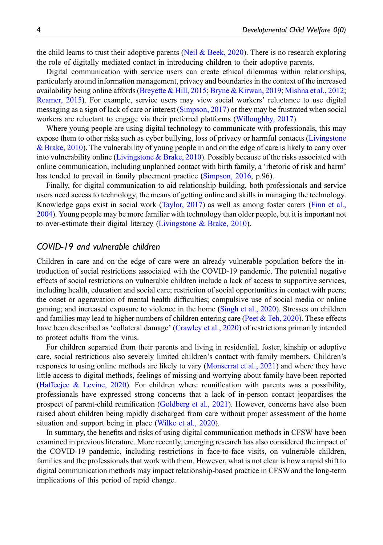the child learns to trust their adoptive parents [\(Neil & Beek, 2020\)](#page-15-9). There is no research exploring the role of digitally mediated contact in introducing children to their adoptive parents.

Digital communication with service users can create ethical dilemmas within relationships, particularly around information management, privacy and boundaries in the context of the increased availability being online affords ([Breyette & Hill, 2015;](#page-14-3) [Bryne & Kirwan, 2019](#page-14-0); [Mishna et al., 2012](#page-15-5); [Reamer, 2015](#page-15-10)). For example, service users may view social workers' reluctance to use digital messaging as a sign of lack of care or interest ([Simpson, 2017](#page-15-6)) or they may be frustrated when social workers are reluctant to engage via their preferred platforms ([Willoughby, 2017](#page-16-2)).

Where young people are using digital technology to communicate with professionals, this may expose them to other risks such as cyber bullying, loss of privacy or harmful contacts [\(Livingstone](#page-14-12) [& Brake, 2010](#page-14-12)). The vulnerability of young people in and on the edge of care is likely to carry over into vulnerability online [\(Livingstone & Brake, 2010\)](#page-14-12). Possibly because of the risks associated with online communication, including unplanned contact with birth family, a 'rhetoric of risk and harm' has tended to prevail in family placement practice ([Simpson, 2016](#page-15-1), p.96).

Finally, for digital communication to aid relationship building, both professionals and service users need access to technology, the means of getting online and skills in managing the technology. Knowledge gaps exist in social work ([Taylor, 2017\)](#page-16-3) as well as among foster carers ([Finn et al.,](#page-14-13) [2004](#page-14-13)). Young people may be more familiar with technology than older people, but it is important not to over-estimate their digital literacy ([Livingstone & Brake, 2010\)](#page-14-12).

#### COVID-19 and vulnerable children

Children in care and on the edge of care were an already vulnerable population before the introduction of social restrictions associated with the COVID-19 pandemic. The potential negative effects of social restrictions on vulnerable children include a lack of access to supportive services, including health, education and social care; restriction of social opportunities in contact with peers; the onset or aggravation of mental health difficulties; compulsive use of social media or online gaming; and increased exposure to violence in the home [\(Singh et al., 2020\)](#page-15-11). Stresses on children and families may lead to higher numbers of children entering care (Peet  $&$  Teh, 2020). These effects have been described as 'collateral damage' ([Crawley et al., 2020](#page-14-14)) of restrictions primarily intended to protect adults from the virus.

For children separated from their parents and living in residential, foster, kinship or adoptive care, social restrictions also severely limited children's contact with family members. Children's responses to using online methods are likely to vary ([Monserrat et al., 2021](#page-15-13)) and where they have little access to digital methods, feelings of missing and worrying about family have been reported (Haffeejee  $\&$  Levine, 2020). For children where reunification with parents was a possibility, professionals have expressed strong concerns that a lack of in-person contact jeopardises the prospect of parent-child reunification [\(Goldberg et al., 2021](#page-14-1)). However, concerns have also been raised about children being rapidly discharged from care without proper assessment of the home situation and support being in place ([Wilke et al., 2020\)](#page-16-4).

In summary, the benefits and risks of using digital communication methods in CFSW have been examined in previous literature. More recently, emerging research has also considered the impact of the COVID-19 pandemic, including restrictions in face-to-face visits, on vulnerable children, families and the professionals that work with them. However, what is not clear is how a rapid shift to digital communication methods may impact relationship-based practice in CFSW and the long-term implications of this period of rapid change.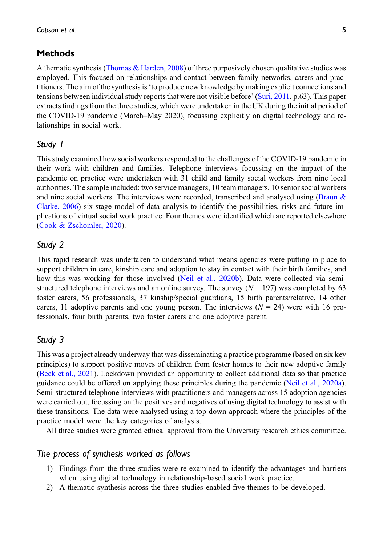# **Methods**

A thematic synthesis [\(Thomas & Harden, 2008\)](#page-16-5) of three purposively chosen qualitative studies was employed. This focused on relationships and contact between family networks, carers and practitioners. The aim of the synthesis is'to produce new knowledge by making explicit connections and tensions between individual study reports that were not visible before' [\(Suri, 2011,](#page-16-6) p.63). This paper extracts findings from the three studies, which were undertaken in the UK during the initial period of the COVID-19 pandemic (March–May 2020), focussing explicitly on digital technology and relationships in social work.

# Study 1

This study examined how social workers responded to the challenges of the COVID-19 pandemic in their work with children and families. Telephone interviews focussing on the impact of the pandemic on practice were undertaken with 31 child and family social workers from nine local authorities. The sample included: two service managers, 10 team managers, 10 senior social workers and nine social workers. The interviews were recorded, transcribed and analysed using ([Braun &](#page-14-16) [Clarke, 2006\)](#page-14-16) six-stage model of data analysis to identify the possibilities, risks and future implications of virtual social work practice. Four themes were identified which are reported elsewhere [\(Cook & Zschomler, 2020](#page-14-2)).

# Study 2

This rapid research was undertaken to understand what means agencies were putting in place to support children in care, kinship care and adoption to stay in contact with their birth families, and how this was working for those involved ([Neil et al., 2020b\)](#page-15-3). Data were collected via semistructured telephone interviews and an online survey. The survey  $(N = 197)$  was completed by 63 foster carers, 56 professionals, 37 kinship/special guardians, 15 birth parents/relative, 14 other carers, 11 adoptive parents and one young person. The interviews  $(N = 24)$  were with 16 professionals, four birth parents, two foster carers and one adoptive parent.

# Study 3

This was a project already underway that was disseminating a practice programme (based on six key principles) to support positive moves of children from foster homes to their new adoptive family [\(Beek et al., 2021](#page-13-4)). Lockdown provided an opportunity to collect additional data so that practice guidance could be offered on applying these principles during the pandemic [\(Neil et al., 2020a](#page-15-4)). Semi-structured telephone interviews with practitioners and managers across 15 adoption agencies were carried out, focussing on the positives and negatives of using digital technology to assist with these transitions. The data were analysed using a top-down approach where the principles of the practice model were the key categories of analysis.

All three studies were granted ethical approval from the University research ethics committee.

## The process of synthesis worked as follows

- 1) Findings from the three studies were re-examined to identify the advantages and barriers when using digital technology in relationship-based social work practice.
- 2) A thematic synthesis across the three studies enabled five themes to be developed.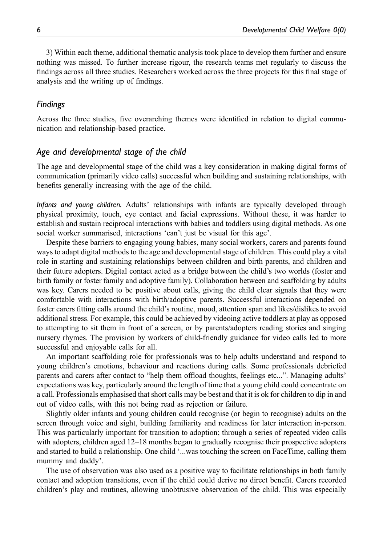3) Within each theme, additional thematic analysis took place to develop them further and ensure nothing was missed. To further increase rigour, the research teams met regularly to discuss the findings across all three studies. Researchers worked across the three projects for this final stage of analysis and the writing up of findings.

## Findings

Across the three studies, five overarching themes were identified in relation to digital communication and relationship-based practice.

## Age and developmental stage of the child

The age and developmental stage of the child was a key consideration in making digital forms of communication (primarily video calls) successful when building and sustaining relationships, with benefits generally increasing with the age of the child.

Infants and young children. Adults' relationships with infants are typically developed through physical proximity, touch, eye contact and facial expressions. Without these, it was harder to establish and sustain reciprocal interactions with babies and toddlers using digital methods. As one social worker summarised, interactions 'can't just be visual for this age'.

Despite these barriers to engaging young babies, many social workers, carers and parents found ways to adapt digital methods to the age and developmental stage of children. This could play a vital role in starting and sustaining relationships between children and birth parents, and children and their future adopters. Digital contact acted as a bridge between the child's two worlds (foster and birth family or foster family and adoptive family). Collaboration between and scaffolding by adults was key. Carers needed to be positive about calls, giving the child clear signals that they were comfortable with interactions with birth/adoptive parents. Successful interactions depended on foster carers fitting calls around the child's routine, mood, attention span and likes/dislikes to avoid additional stress. For example, this could be achieved by videoing active toddlers at play as opposed to attempting to sit them in front of a screen, or by parents/adopters reading stories and singing nursery rhymes. The provision by workers of child-friendly guidance for video calls led to more successful and enjoyable calls for all.

An important scaffolding role for professionals was to help adults understand and respond to young children's emotions, behaviour and reactions during calls. Some professionals debriefed parents and carers after contact to "help them offload thoughts, feelings etc...". Managing adults' expectations was key, particularly around the length of time that a young child could concentrate on a call. Professionals emphasised that short calls may be best and that it is ok for children to dip in and out of video calls, with this not being read as rejection or failure.

Slightly older infants and young children could recognise (or begin to recognise) adults on the screen through voice and sight, building familiarity and readiness for later interaction in-person. This was particularly important for transition to adoption; through a series of repeated video calls with adopters, children aged 12–18 months began to gradually recognise their prospective adopters and started to build a relationship. One child '...was touching the screen on FaceTime, calling them mummy and daddy'.

The use of observation was also used as a positive way to facilitate relationships in both family contact and adoption transitions, even if the child could derive no direct benefit. Carers recorded children's play and routines, allowing unobtrusive observation of the child. This was especially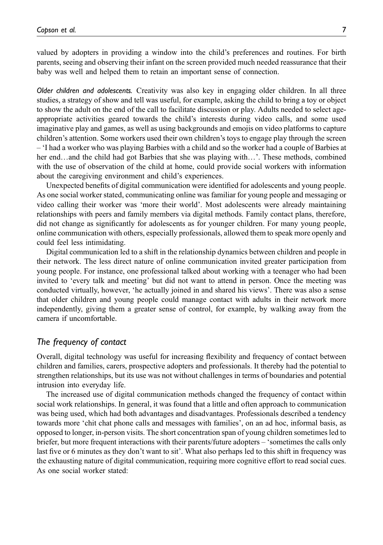valued by adopters in providing a window into the child's preferences and routines. For birth parents, seeing and observing their infant on the screen provided much needed reassurance that their baby was well and helped them to retain an important sense of connection.

Older children and adolescents. Creativity was also key in engaging older children. In all three studies, a strategy of show and tell was useful, for example, asking the child to bring a toy or object to show the adult on the end of the call to facilitate discussion or play. Adults needed to select ageappropriate activities geared towards the child's interests during video calls, and some used imaginative play and games, as well as using backgrounds and emojis on video platforms to capture children's attention. Some workers used their own children's toys to engage play through the screen – 'I had a worker who was playing Barbies with a child and so the worker had a couple of Barbies at her end…and the child had got Barbies that she was playing with…'. These methods, combined with the use of observation of the child at home, could provide social workers with information about the caregiving environment and child's experiences.

Unexpected benefits of digital communication were identified for adolescents and young people. As one social worker stated, communicating online was familiar for young people and messaging or video calling their worker was 'more their world'. Most adolescents were already maintaining relationships with peers and family members via digital methods. Family contact plans, therefore, did not change as significantly for adolescents as for younger children. For many young people, online communication with others, especially professionals, allowed them to speak more openly and could feel less intimidating.

Digital communication led to a shift in the relationship dynamics between children and people in their network. The less direct nature of online communication invited greater participation from young people. For instance, one professional talked about working with a teenager who had been invited to 'every talk and meeting' but did not want to attend in person. Once the meeting was conducted virtually, however, 'he actually joined in and shared his views'. There was also a sense that older children and young people could manage contact with adults in their network more independently, giving them a greater sense of control, for example, by walking away from the camera if uncomfortable.

# The frequency of contact

Overall, digital technology was useful for increasing flexibility and frequency of contact between children and families, carers, prospective adopters and professionals. It thereby had the potential to strengthen relationships, but its use was not without challenges in terms of boundaries and potential intrusion into everyday life.

The increased use of digital communication methods changed the frequency of contact within social work relationships. In general, it was found that a little and often approach to communication was being used, which had both advantages and disadvantages. Professionals described a tendency towards more 'chit chat phone calls and messages with families', on an ad hoc, informal basis, as opposed to longer, in-person visits. The short concentration span of young children sometimes led to briefer, but more frequent interactions with their parents/future adopters – 'sometimes the calls only last five or 6 minutes as they don't want to sit'. What also perhaps led to this shift in frequency was the exhausting nature of digital communication, requiring more cognitive effort to read social cues. As one social worker stated: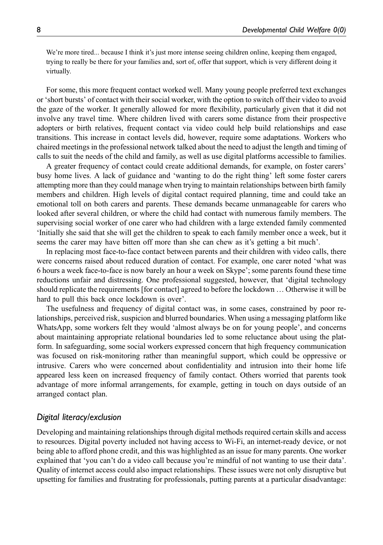We're more tired... because I think it's just more intense seeing children online, keeping them engaged, trying to really be there for your families and, sort of, offer that support, which is very different doing it virtually.

For some, this more frequent contact worked well. Many young people preferred text exchanges or 'short bursts' of contact with their social worker, with the option to switch off their video to avoid the gaze of the worker. It generally allowed for more flexibility, particularly given that it did not involve any travel time. Where children lived with carers some distance from their prospective adopters or birth relatives, frequent contact via video could help build relationships and ease transitions. This increase in contact levels did, however, require some adaptations. Workers who chaired meetings in the professional network talked about the need to adjust the length and timing of calls to suit the needs of the child and family, as well as use digital platforms accessible to families.

A greater frequency of contact could create additional demands, for example, on foster carers' busy home lives. A lack of guidance and 'wanting to do the right thing' left some foster carers attempting more than they could manage when trying to maintain relationships between birth family members and children. High levels of digital contact required planning, time and could take an emotional toll on both carers and parents. These demands became unmanageable for carers who looked after several children, or where the child had contact with numerous family members. The supervising social worker of one carer who had children with a large extended family commented 'Initially she said that she will get the children to speak to each family member once a week, but it seems the carer may have bitten off more than she can chew as it's getting a bit much'.

In replacing most face-to-face contact between parents and their children with video calls, there were concerns raised about reduced duration of contact. For example, one carer noted 'what was 6 hours a week face-to-face is now barely an hour a week on Skype'; some parents found these time reductions unfair and distressing. One professional suggested, however, that 'digital technology should replicate the requirements [for contact] agreed to before the lockdown … Otherwise it will be hard to pull this back once lockdown is over'.

The usefulness and frequency of digital contact was, in some cases, constrained by poor relationships, perceived risk, suspicion and blurred boundaries. When using a messaging platform like WhatsApp, some workers felt they would 'almost always be on for young people', and concerns about maintaining appropriate relational boundaries led to some reluctance about using the platform. In safeguarding, some social workers expressed concern that high frequency communication was focused on risk-monitoring rather than meaningful support, which could be oppressive or intrusive. Carers who were concerned about confidentiality and intrusion into their home life appeared less keen on increased frequency of family contact. Others worried that parents took advantage of more informal arrangements, for example, getting in touch on days outside of an arranged contact plan.

## Digital literacy/exclusion

Developing and maintaining relationships through digital methods required certain skills and access to resources. Digital poverty included not having access to Wi-Fi, an internet-ready device, or not being able to afford phone credit, and this was highlighted as an issue for many parents. One worker explained that 'you can't do a video call because you're mindful of not wanting to use their data'. Quality of internet access could also impact relationships. These issues were not only disruptive but upsetting for families and frustrating for professionals, putting parents at a particular disadvantage: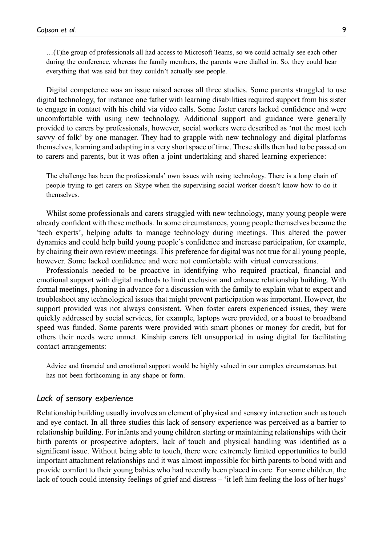…(T)he group of professionals all had access to Microsoft Teams, so we could actually see each other during the conference, whereas the family members, the parents were dialled in. So, they could hear everything that was said but they couldn't actually see people.

Digital competence was an issue raised across all three studies. Some parents struggled to use digital technology, for instance one father with learning disabilities required support from his sister to engage in contact with his child via video calls. Some foster carers lacked confidence and were uncomfortable with using new technology. Additional support and guidance were generally provided to carers by professionals, however, social workers were described as 'not the most tech savvy of folk' by one manager. They had to grapple with new technology and digital platforms themselves, learning and adapting in a very short space of time. These skills then had to be passed on to carers and parents, but it was often a joint undertaking and shared learning experience:

The challenge has been the professionals' own issues with using technology. There is a long chain of people trying to get carers on Skype when the supervising social worker doesn't know how to do it themselves.

Whilst some professionals and carers struggled with new technology, many young people were already confident with these methods. In some circumstances, young people themselves became the 'tech experts', helping adults to manage technology during meetings. This altered the power dynamics and could help build young people's confidence and increase participation, for example, by chairing their own review meetings. This preference for digital was not true for all young people, however. Some lacked confidence and were not comfortable with virtual conversations.

Professionals needed to be proactive in identifying who required practical, financial and emotional support with digital methods to limit exclusion and enhance relationship building. With formal meetings, phoning in advance for a discussion with the family to explain what to expect and troubleshoot any technological issues that might prevent participation was important. However, the support provided was not always consistent. When foster carers experienced issues, they were quickly addressed by social services, for example, laptops were provided, or a boost to broadband speed was funded. Some parents were provided with smart phones or money for credit, but for others their needs were unmet. Kinship carers felt unsupported in using digital for facilitating contact arrangements:

Advice and financial and emotional support would be highly valued in our complex circumstances but has not been forthcoming in any shape or form.

# Lack of sensory experience

Relationship building usually involves an element of physical and sensory interaction such as touch and eye contact. In all three studies this lack of sensory experience was perceived as a barrier to relationship building. For infants and young children starting or maintaining relationships with their birth parents or prospective adopters, lack of touch and physical handling was identified as a significant issue. Without being able to touch, there were extremely limited opportunities to build important attachment relationships and it was almost impossible for birth parents to bond with and provide comfort to their young babies who had recently been placed in care. For some children, the lack of touch could intensity feelings of grief and distress – 'it left him feeling the loss of her hugs'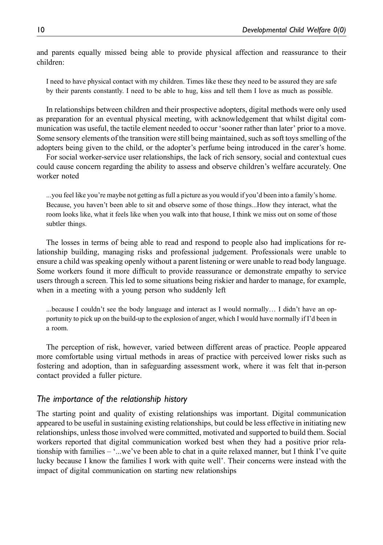and parents equally missed being able to provide physical affection and reassurance to their children:

I need to have physical contact with my children. Times like these they need to be assured they are safe by their parents constantly. I need to be able to hug, kiss and tell them I love as much as possible.

In relationships between children and their prospective adopters, digital methods were only used as preparation for an eventual physical meeting, with acknowledgement that whilst digital communication was useful, the tactile element needed to occur 'sooner rather than later' prior to a move. Some sensory elements of the transition were still being maintained, such as soft toys smelling of the adopters being given to the child, or the adopter's perfume being introduced in the carer's home.

For social worker-service user relationships, the lack of rich sensory, social and contextual cues could cause concern regarding the ability to assess and observe children's welfare accurately. One worker noted

...you feel like you're maybe not getting as full a picture as you would if you'd been into a family's home. Because, you haven't been able to sit and observe some of those things...How they interact, what the room looks like, what it feels like when you walk into that house, I think we miss out on some of those subtler things.

The losses in terms of being able to read and respond to people also had implications for relationship building, managing risks and professional judgement. Professionals were unable to ensure a child was speaking openly without a parent listening or were unable to read body language. Some workers found it more difficult to provide reassurance or demonstrate empathy to service users through a screen. This led to some situations being riskier and harder to manage, for example, when in a meeting with a young person who suddenly left

...because I couldn't see the body language and interact as I would normally… I didn't have an opportunity to pick up on the build-up to the explosion of anger, which I would have normally if I'd been in a room.

The perception of risk, however, varied between different areas of practice. People appeared more comfortable using virtual methods in areas of practice with perceived lower risks such as fostering and adoption, than in safeguarding assessment work, where it was felt that in-person contact provided a fuller picture.

# The importance of the relationship history

The starting point and quality of existing relationships was important. Digital communication appeared to be useful in sustaining existing relationships, but could be less effective in initiating new relationships, unless those involved were committed, motivated and supported to build them. Social workers reported that digital communication worked best when they had a positive prior relationship with families – '...we've been able to chat in a quite relaxed manner, but I think I've quite lucky because I know the families I work with quite well'. Their concerns were instead with the impact of digital communication on starting new relationships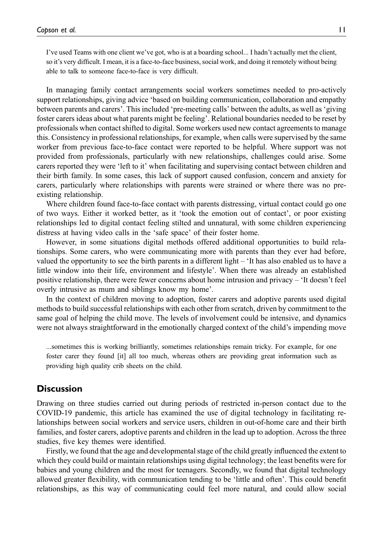I've used Teams with one client we've got, who is at a boarding school... I hadn't actually met the client, so it's very difficult. I mean, it is a face-to-face business, social work, and doing it remotely without being able to talk to someone face-to-face is very difficult.

In managing family contact arrangements social workers sometimes needed to pro-actively support relationships, giving advice 'based on building communication, collaboration and empathy between parents and carers'. This included 'pre-meeting calls' between the adults, as well as 'giving foster carers ideas about what parents might be feeling'. Relational boundaries needed to be reset by professionals when contact shifted to digital. Some workers used new contact agreements to manage this. Consistency in professional relationships, for example, when calls were supervised by the same worker from previous face-to-face contact were reported to be helpful. Where support was not provided from professionals, particularly with new relationships, challenges could arise. Some carers reported they were 'left to it' when facilitating and supervising contact between children and their birth family. In some cases, this lack of support caused confusion, concern and anxiety for carers, particularly where relationships with parents were strained or where there was no preexisting relationship.

Where children found face-to-face contact with parents distressing, virtual contact could go one of two ways. Either it worked better, as it 'took the emotion out of contact', or poor existing relationships led to digital contact feeling stilted and unnatural, with some children experiencing distress at having video calls in the 'safe space' of their foster home.

However, in some situations digital methods offered additional opportunities to build relationships. Some carers, who were communicating more with parents than they ever had before, valued the opportunity to see the birth parents in a different light – 'It has also enabled us to have a little window into their life, environment and lifestyle'. When there was already an established positive relationship, there were fewer concerns about home intrusion and privacy – 'It doesn't feel overly intrusive as mum and siblings know my home'.

In the context of children moving to adoption, foster carers and adoptive parents used digital methods to build successful relationships with each other from scratch, driven by commitment to the same goal of helping the child move. The levels of involvement could be intensive, and dynamics were not always straightforward in the emotionally charged context of the child's impending move

...sometimes this is working brilliantly, sometimes relationships remain tricky. For example, for one foster carer they found [it] all too much, whereas others are providing great information such as providing high quality crib sheets on the child.

## **Discussion**

Drawing on three studies carried out during periods of restricted in-person contact due to the COVID-19 pandemic, this article has examined the use of digital technology in facilitating relationships between social workers and service users, children in out-of-home care and their birth families, and foster carers, adoptive parents and children in the lead up to adoption. Across the three studies, five key themes were identified.

Firstly, we found that the age and developmental stage of the child greatly influenced the extent to which they could build or maintain relationships using digital technology; the least benefits were for babies and young children and the most for teenagers. Secondly, we found that digital technology allowed greater flexibility, with communication tending to be 'little and often'. This could benefit relationships, as this way of communicating could feel more natural, and could allow social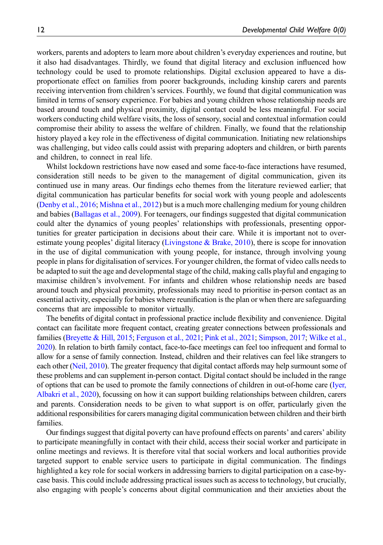workers, parents and adopters to learn more about children's everyday experiences and routine, but it also had disadvantages. Thirdly, we found that digital literacy and exclusion influenced how technology could be used to promote relationships. Digital exclusion appeared to have a disproportionate effect on families from poorer backgrounds, including kinship carers and parents receiving intervention from children's services. Fourthly, we found that digital communication was limited in terms of sensory experience. For babies and young children whose relationship needs are based around touch and physical proximity, digital contact could be less meaningful. For social workers conducting child welfare visits, the loss of sensory, social and contextual information could compromise their ability to assess the welfare of children. Finally, we found that the relationship history played a key role in the effectiveness of digital communication. Initiating new relationships was challenging, but video calls could assist with preparing adopters and children, or birth parents and children, to connect in real life.

Whilst lockdown restrictions have now eased and some face-to-face interactions have resumed, consideration still needs to be given to the management of digital communication, given its continued use in many areas. Our findings echo themes from the literature reviewed earlier; that digital communication has particular benefits for social work with young people and adolescents [\(Denby et al., 2016;](#page-14-4) [Mishna et al., 2012](#page-15-5)) but is a much more challenging medium for young children and babies [\(Ballagas et al., 2009](#page-13-5)). For teenagers, our findings suggested that digital communication could alter the dynamics of young peoples' relationships with professionals, presenting opportunities for greater participation in decisions about their care. While it is important not to over-estimate young peoples' digital literacy [\(Livingstone & Brake, 2010](#page-14-12)), there is scope for innovation in the use of digital communication with young people, for instance, through involving young people in plans for digitalisation of services. For younger children, the format of video calls needs to be adapted to suit the age and developmental stage of the child, making calls playful and engaging to maximise children's involvement. For infants and children whose relationship needs are based around touch and physical proximity, professionals may need to prioritise in-person contact as an essential activity, especially for babies where reunification is the plan or when there are safeguarding concerns that are impossible to monitor virtually.

The benefits of digital contact in professional practice include flexibility and convenience. Digital contact can facilitate more frequent contact, creating greater connections between professionals and families [\(Breyette & Hill, 2015;](#page-14-3) [Ferguson et al., 2021;](#page-14-17) [Pink et al., 2021;](#page-15-14) [Simpson, 2017](#page-15-6); [Wilke et al.,](#page-16-4) [2020\)](#page-16-4). In relation to birth family contact, face-to-face meetings can feel too infrequent and formal to allow for a sense of family connection. Instead, children and their relatives can feel like strangers to each other [\(Neil, 2010\)](#page-15-15). The greater frequency that digital contact affords may help surmount some of these problems and can supplement in-person contact. Digital contact should be included in the range of options that can be used to promote the family connections of children in out-of-home care [\(Iyer,](#page-14-7) [Albakri et al., 2020](#page-14-7)), focussing on how it can support building relationships between children, carers and parents. Consideration needs to be given to what support is on offer, particularly given the additional responsibilities for carers managing digital communication between children and their birth families.

Our findings suggest that digital poverty can have profound effects on parents' and carers' ability to participate meaningfully in contact with their child, access their social worker and participate in online meetings and reviews. It is therefore vital that social workers and local authorities provide targeted support to enable service users to participate in digital communication. The findings highlighted a key role for social workers in addressing barriers to digital participation on a case-bycase basis. This could include addressing practical issues such as access to technology, but crucially, also engaging with people's concerns about digital communication and their anxieties about the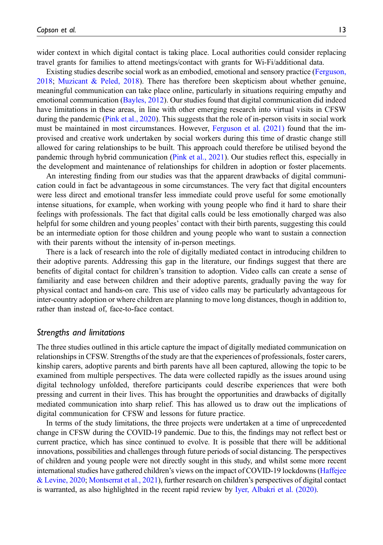wider context in which digital contact is taking place. Local authorities could consider replacing travel grants for families to attend meetings/contact with grants for Wi-Fi/additional data.

Existing studies describe social work as an embodied, emotional and sensory practice [\(Ferguson,](#page-14-11) [2018](#page-14-11); [Muzicant & Peled, 2018](#page-15-16)). There has therefore been skepticism about whether genuine, meaningful communication can take place online, particularly in situations requiring empathy and emotional communication ([Bayles, 2012](#page-13-1)). Our studies found that digital communication did indeed have limitations in these areas, in line with other emerging research into virtual visits in CFSW during the pandemic [\(Pink et al., 2020\)](#page-15-17). This suggests that the role of in-person visits in social work must be maintained in most circumstances. However, [Ferguson et al. \(2021\)](#page-14-17) found that the improvised and creative work undertaken by social workers during this time of drastic change still allowed for caring relationships to be built. This approach could therefore be utilised beyond the pandemic through hybrid communication [\(Pink et al., 2021\)](#page-15-14). Our studies reflect this, especially in the development and maintenance of relationships for children in adoption or foster placements.

An interesting finding from our studies was that the apparent drawbacks of digital communication could in fact be advantageous in some circumstances. The very fact that digital encounters were less direct and emotional transfer less immediate could prove useful for some emotionally intense situations, for example, when working with young people who find it hard to share their feelings with professionals. The fact that digital calls could be less emotionally charged was also helpful for some children and young peoples' contact with their birth parents, suggesting this could be an intermediate option for those children and young people who want to sustain a connection with their parents without the intensity of in-person meetings.

There is a lack of research into the role of digitally mediated contact in introducing children to their adoptive parents. Addressing this gap in the literature, our findings suggest that there are benefits of digital contact for children's transition to adoption. Video calls can create a sense of familiarity and ease between children and their adoptive parents, gradually paving the way for physical contact and hands-on care. This use of video calls may be particularly advantageous for inter-country adoption or where children are planning to move long distances, though in addition to, rather than instead of, face-to-face contact.

#### Strengths and limitations

The three studies outlined in this article capture the impact of digitally mediated communication on relationships in CFSW. Strengths of the study are that the experiences of professionals, foster carers, kinship carers, adoptive parents and birth parents have all been captured, allowing the topic to be examined from multiple perspectives. The data were collected rapidly as the issues around using digital technology unfolded, therefore participants could describe experiences that were both pressing and current in their lives. This has brought the opportunities and drawbacks of digitally mediated communication into sharp relief. This has allowed us to draw out the implications of digital communication for CFSW and lessons for future practice.

In terms of the study limitations, the three projects were undertaken at a time of unprecedented change in CFSW during the COVID-19 pandemic. Due to this, the findings may not reflect best or current practice, which has since continued to evolve. It is possible that there will be additional innovations, possibilities and challenges through future periods of social distancing. The perspectives of children and young people were not directly sought in this study, and whilst some more recent international studies have gathered children's views on the impact of COVID-19 lockdowns ([Haffejee](#page-14-15) [& Levine, 2020](#page-14-15); [Montserrat et al., 2021\)](#page-15-13), further research on children's perspectives of digital contact is warranted, as also highlighted in the recent rapid review by [Iyer, Albakri et al. \(2020\)](#page-14-7).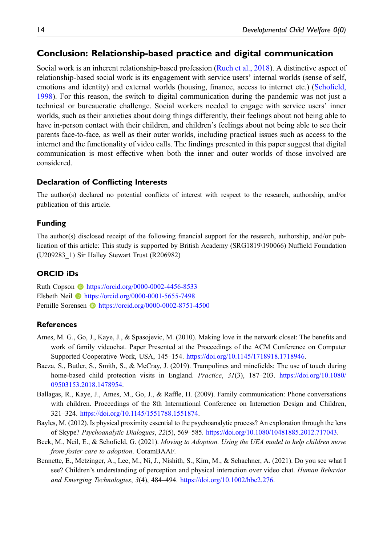# Conclusion: Relationship-based practice and digital communication

Social work is an inherent relationship-based profession ([Ruch et al., 2018\)](#page-15-0). A distinctive aspect of relationship-based social work is its engagement with service users' internal worlds (sense of self, emotions and identity) and external worlds (housing, finance, access to internet etc.) ([Scho](#page-15-18)field, [1998](#page-15-18)). For this reason, the switch to digital communication during the pandemic was not just a technical or bureaucratic challenge. Social workers needed to engage with service users' inner worlds, such as their anxieties about doing things differently, their feelings about not being able to have in-person contact with their children, and children's feelings about not being able to see their parents face-to-face, as well as their outer worlds, including practical issues such as access to the internet and the functionality of video calls. The findings presented in this paper suggest that digital communication is most effective when both the inner and outer worlds of those involved are considered.

#### Declaration of Conflicting Interests

The author(s) declared no potential conflicts of interest with respect to the research, authorship, and/or publication of this article.

#### Funding

The author(s) disclosed receipt of the following financial support for the research, authorship, and/or publication of this article: This study is supported by British Academy (SRG1819\190066) Nuffield Foundation (U209283\_1) Sir Halley Stewart Trust (R206982)

#### ORCID iDs

Ruth Copson **b** <https://orcid.org/0000-0002-4456-8533> Elsbeth Neil <https://orcid.org/0000-0001-5655-7498> Pernille Sorensen **b** <https://orcid.org/0000-0002-8751-4500>

#### **References**

- <span id="page-13-0"></span>Ames, M. G., Go, J., Kaye, J., & Spasojevic, M. (2010). Making love in the network closet: The benefits and work of family videochat. Paper Presented at the Proceedings of the ACM Conference on Computer Supported Cooperative Work, USA, 145–154. <https://doi.org/10.1145/1718918.1718946>.
- <span id="page-13-3"></span>Baeza, S., Butler, S., Smith, S., & McCray, J. (2019). Trampolines and minefields: The use of touch during home-based child protection visits in England. Practice, 31(3), 187–203. [https://doi.org/10.1080/](https://doi.org/10.1080/09503153.2018.1478954) [09503153.2018.1478954.](https://doi.org/10.1080/09503153.2018.1478954)
- <span id="page-13-5"></span>Ballagas, R., Kaye, J., Ames, M., Go, J., & Raffle, H. (2009). Family communication: Phone conversations with children. Proceedings of the 8th International Conference on Interaction Design and Children, 321–324. <https://doi.org/10.1145/1551788.1551874>.
- <span id="page-13-1"></span>Bayles, M. (2012). Is physical proximity essential to the psychoanalytic process? An exploration through the lens of Skype? Psychoanalytic Dialogues, 22(5), 569–585. <https://doi.org/10.1080/10481885.2012.717043>.
- <span id="page-13-4"></span>Beek, M., Neil, E., & Schofield, G. (2021). Moving to Adoption. Using the UEA model to help children move from foster care to adoption. CoramBAAF.
- <span id="page-13-2"></span>Bennette, E., Metzinger, A., Lee, M., Ni, J., Nishith, S., Kim, M., & Schachner, A. (2021). Do you see what I see? Children's understanding of perception and physical interaction over video chat. Human Behavior and Emerging Technologies, 3(4), 484–494. [https://doi.org/10.1002/hbe2.276.](https://doi.org/10.1002/hbe2.276)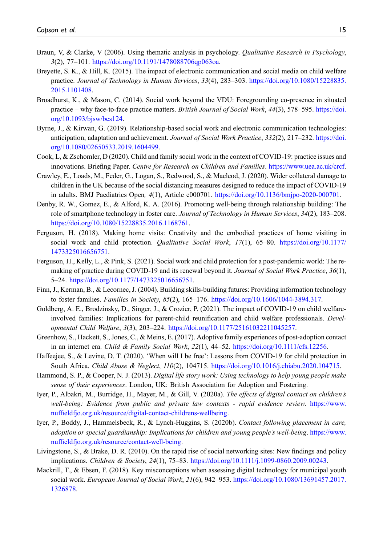- <span id="page-14-16"></span>Braun, V, & Clarke, V (2006). Using thematic analysis in psychology. *Qualitative Research in Psychology*, 3(2), 77–101. [https://doi.org/10.1191/1478088706qp063oa.](https://doi.org/10.1191/1478088706qp063oa)
- <span id="page-14-3"></span>Breyette, S. K., & Hill, K. (2015). The impact of electronic communication and social media on child welfare practice. Journal of Technology in Human Services, 33(4), 283–303. [https://doi.org/10.1080/15228835.](https://doi.org/10.1080/15228835.2015.1101408) [2015.1101408](https://doi.org/10.1080/15228835.2015.1101408).
- <span id="page-14-10"></span>Broadhurst, K., & Mason, C. (2014). Social work beyond the VDU: Foregrounding co-presence in situated practice – why face-to-face practice matters. British Journal of Social Work, 44(3), 578–595. [https://doi.](https://doi.org/10.1093/bjsw/bcs124) [org/10.1093/bjsw/bcs124](https://doi.org/10.1093/bjsw/bcs124).
- <span id="page-14-0"></span>Byrne, J., & Kirwan, G. (2019). Relationship-based social work and electronic communication technologies: anticipation, adaptation and achievement. Journal of Social Work Practice, 332(2), 217–232. [https://doi.](https://doi.org/10.1080/02650533.2019.1604499) [org/10.1080/02650533.2019.1604499.](https://doi.org/10.1080/02650533.2019.1604499)
- <span id="page-14-2"></span>Cook, L, & Zschomler, D (2020). Child and family social work in the context of COVID-19: practice issues and innovations. Briefing Paper. Centre for Research on Children and Families. <https://www.uea.ac.uk/crcf>.
- <span id="page-14-14"></span>Crawley, E., Loads, M., Feder, G., Logan, S., Redwood, S., & Macleod, J. (2020). Wider collateral damage to children in the UK because of the social distancing measures designed to reduce the impact of COVID-19 in adults. BMJ Paediatrics Open, 4(1), Article e000701. [https://doi.org/10.1136/bmjpo-2020-000701.](https://doi.org/10.1136/bmjpo-2020-000701)
- <span id="page-14-4"></span>Denby, R. W., Gomez, E., & Alford, K. A. (2016). Promoting well-being through relationship building: The role of smartphone technology in foster care. Journal of Technology in Human Services, 34(2), 183–208. <https://doi.org/10.1080/15228835.2016.1168761>.
- <span id="page-14-11"></span>Ferguson, H. (2018). Making home visits: Creativity and the embodied practices of home visiting in social work and child protection. Qualitative Social Work, 17(1), 65-80. [https://doi.org/10.1177/](https://doi.org/10.1177/1473325016656751) [1473325016656751.](https://doi.org/10.1177/1473325016656751)
- <span id="page-14-17"></span>Ferguson, H., Kelly, L., & Pink, S. (2021). Social work and child protection for a post-pandemic world: The remaking of practice during COVID-19 and its renewal beyond it. Journal of Social Work Practice, 36(1), 5–24. [https://doi.org/10.1177/1473325016656751.](https://doi.org/10.1177/1473325016656751)
- <span id="page-14-13"></span>Finn, J., Kerman, B., & Lecornec, J. (2004). Building skills-building futures: Providing information technology to foster families. Families in Society, 85(2), 165–176. <https://doi.org/10.1606/1044-3894.317>.
- <span id="page-14-1"></span>Goldberg, A. E., Brodzinsky, D., Singer, J., & Crozier, P. (2021). The impact of COVID-19 on child welfareinvolved families: Implications for parent-child reunification and child welfare professionals. Developmental Child Welfare, 3(3), 203–224. <https://doi.org/10.1177/25161032211045257>.
- <span id="page-14-8"></span>Greenhow, S., Hackett, S., Jones, C., & Meins, E. (2017). Adoptive family experiences of post-adoption contact in an internet era. Child & Family Social Work, 22(1), 44–52. <https://doi.org/10.1111/cfs.12256>.
- <span id="page-14-15"></span>Haffeejee, S., & Levine, D. T. (2020). 'When will I be free': Lessons from COVID-19 for child protection in South Africa. Child Abuse & Neglect, 110(2), 104715. <https://doi.org/10.1016/j.chiabu.2020.104715>.
- <span id="page-14-6"></span>Hammond, S. P., & Cooper, N. J. (2013). Digital life story work: Using technology to help young people make sense of their experiences. London, UK: British Association for Adoption and Fostering.
- <span id="page-14-7"></span>Iyer, P., Albakri, M., Burridge, H., Mayer, M., & Gill, V. (2020a). The effects of digital contact on children's well-being: Evidence from public and private law contexts - rapid evidence review. [https://www.](https://www.nuffieldfjo.org.uk/resource/digital-contact-childrens-wellbeing) nuffi[eldfjo.org.uk/resource/digital-contact-childrens-wellbeing.](https://www.nuffieldfjo.org.uk/resource/digital-contact-childrens-wellbeing)
- <span id="page-14-9"></span>Iyer, P., Boddy, J., Hammelsbeck, R., & Lynch-Huggins, S. (2020b). Contact following placement in care, adoption or special guardianship: Implications for children and young people's well-being. [https://www.](https://www.nuffieldfjo.org.uk/resource/contact-well-being) nuffi[eldfjo.org.uk/resource/contact-well-being](https://www.nuffieldfjo.org.uk/resource/contact-well-being).
- <span id="page-14-12"></span>Livingstone, S., & Brake, D. R. (2010). On the rapid rise of social networking sites: New findings and policy implications. Children & Society, 24(1), 75–83. <https://doi.org/10.1111/j.1099-0860.2009.00243>.
- <span id="page-14-5"></span>Mackrill, T., & Ebsen, F. (2018). Key misconceptions when assessing digital technology for municipal youth social work. European Journal of Social Work, 21(6), 942–953. [https://doi.org/10.1080/13691457.2017.](https://doi.org/10.1080/13691457.2017.1326878) [1326878](https://doi.org/10.1080/13691457.2017.1326878).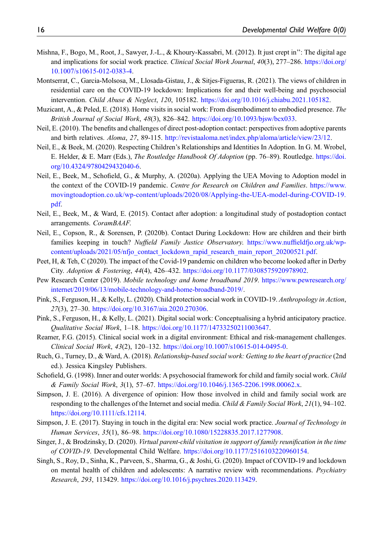- <span id="page-15-5"></span>Mishna, F., Bogo, M., Root, J., Sawyer, J.-L., & Khoury-Kassabri, M. (2012). It just crept in'': The digital age and implications for social work practice. Clinical Social Work Journal, 40(3), 277–286. [https://doi.org/](https://doi.org/10.1007/s10615-012-0383-4) [10.1007/s10615-012-0383-4](https://doi.org/10.1007/s10615-012-0383-4).
- <span id="page-15-13"></span>Montserrat, C., Garcia-Molsosa, M., Llosada-Gistau, J., & Sitjes-Figueras, R. (2021). The views of children in residential care on the COVID-19 lockdown: Implications for and their well-being and psychosocial intervention. Child Abuse & Neglect, 120, 105182. <https://doi.org/10.1016/j.chiabu.2021.105182>.
- <span id="page-15-16"></span>Muzicant, A., & Peled, E. (2018). Home visits in social work: From disembodiment to embodied presence. The British Journal of Social Work, 48(3), 826–842. <https://doi.org/10.1093/bjsw/bcx033>.
- <span id="page-15-15"></span>Neil, E. (2010). The benefits and challenges of direct post-adoption contact: perspectives from adoptive parents and birth relatives. Aloma, 27, 89-115. [http://revistaaloma.net/index.php/aloma/article/view/23/12.](http://revistaaloma.net/index.php/aloma/article/view/23/12)
- <span id="page-15-9"></span>Neil, E., & Beek, M. (2020). Respecting Children's Relationships and Identities In Adoption. In G. M. Wrobel, E. Helder, & E. Marr (Eds.), The Routledge Handbook Of Adoption (pp. 76–89). Routledge. [https://doi.](https://doi.org/10.4324/9780429432040-6) [org/10.4324/9780429432040-6.](https://doi.org/10.4324/9780429432040-6)
- <span id="page-15-4"></span>Neil, E., Beek, M., Schofield, G., & Murphy, A. (2020a). Applying the UEA Moving to Adoption model in the context of the COVID-19 pandemic. Centre for Research on Children and Families. [https://www.](https://www.movingtoadoption.co.uk/wp-content/uploads/2020/08/Applying-the-UEA-model-during-COVID-19.pdf) [movingtoadoption.co.uk/wp-content/uploads/2020/08/Applying-the-UEA-model-during-COVID-19.](https://www.movingtoadoption.co.uk/wp-content/uploads/2020/08/Applying-the-UEA-model-during-COVID-19.pdf) [pdf](https://www.movingtoadoption.co.uk/wp-content/uploads/2020/08/Applying-the-UEA-model-during-COVID-19.pdf).
- <span id="page-15-7"></span>Neil, E., Beek, M., & Ward, E. (2015). Contact after adoption: a longitudinal study of postadoption contact arrangements. CoramBAAF.
- <span id="page-15-3"></span>Neil, E., Copson, R., & Sorensen, P. (2020b). Contact During Lockdown: How are children and their birth families keeping in touch? Nuffield Family Justice Observatory. https://www.nuffi[eldfjo.org.uk/wp](https://www.nuffieldfjo.org.uk/wp-content/uploads/2021/05/nfjo_contact_lockdown_rapid_research_main_report_20200521.pdf)[content/uploads/2021/05/nfjo\\_contact\\_lockdown\\_rapid\\_research\\_main\\_report\\_20200521.pdf](https://www.nuffieldfjo.org.uk/wp-content/uploads/2021/05/nfjo_contact_lockdown_rapid_research_main_report_20200521.pdf).
- <span id="page-15-12"></span>Peet, H, & Teh, C (2020). The impact of the Covid-19 pandemic on children who become looked after in Derby City. Adoption & Fostering, 44(4), 426–432. [https://doi.org/10.1177/0308575920978902.](https://doi.org/10.1177/0308575920978902)
- <span id="page-15-2"></span>Pew Research Center (2019). Mobile technology and home broadband 2019. [https://www.pewresearch.org/](https://www.pewresearch.org/internet/2019/06/13/mobile-technology-and-home-broadband-2019/) [internet/2019/06/13/mobile-technology-and-home-broadband-2019/](https://www.pewresearch.org/internet/2019/06/13/mobile-technology-and-home-broadband-2019/).
- <span id="page-15-17"></span>Pink, S., Ferguson, H., & Kelly, L. (2020). Child protection social work in COVID-19. Anthropology in Action, 27(3), 27–30. [https://doi.org/10.3167/aia.2020.270306.](https://doi.org/10.3167/aia.2020.270306)
- <span id="page-15-14"></span>Pink, S., Ferguson, H., & Kelly, L. (2021). Digital social work: Conceptualising a hybrid anticipatory practice. Qualitative Social Work, 1–18. [https://doi.org/10.1177/14733250211003647.](https://doi.org/10.1177/14733250211003647)
- <span id="page-15-10"></span>Reamer, F.G. (2015). Clinical social work in a digital environment: Ethical and risk-management challenges. Clinical Social Work, 43(2), 120–132. <https://doi.org/10.1007/s10615-014-0495-0>.
- <span id="page-15-0"></span>Ruch, G., Turney, D., & Ward, A. (2018). Relationship-based social work: Getting to the heart of practice (2nd ed.). Jessica Kingsley Publishers.
- <span id="page-15-18"></span>Schofield, G. (1998). Inner and outer worlds: A psychosocial framework for child and family social work. Child & Family Social Work, 3(1), 57–67. [https://doi.org/10.1046/j.1365-2206.1998.00062.x.](https://doi.org/10.1046/j.1365-2206.1998.00062.x)
- <span id="page-15-1"></span>Simpson, J. E. (2016). A divergence of opinion: How those involved in child and family social work are responding to the challenges of the Internet and social media. Child & Family Social Work, 21(1), 94–102. [https://doi.org/10.1111/cfs.12114.](https://doi.org/10.1111/cfs.12114)
- <span id="page-15-6"></span>Simpson, J. E. (2017). Staying in touch in the digital era: New social work practice. Journal of Technology in Human Services, 35(1), 86-98. [https://doi.org/10.1080/15228835.2017.1277908.](https://doi.org/10.1080/15228835.2017.1277908)
- <span id="page-15-8"></span>Singer, J., & Brodzinsky, D. (2020). Virtual parent-child visitation in support of family reunification in the time of COVID-19. Developmental Child Welfare. [https://doi.org/10.1177/2516103220960154.](https://doi.org/10.1177/2516103220960154)
- <span id="page-15-11"></span>Singh, S., Roy, D., Sinha, K., Parveen, S., Sharma, G., & Joshi, G. (2020). Impact of COVID-19 and lockdown on mental health of children and adolescents: A narrative review with recommendations. Psychiatry Research, 293, 113429. <https://doi.org/10.1016/j.psychres.2020.113429>.